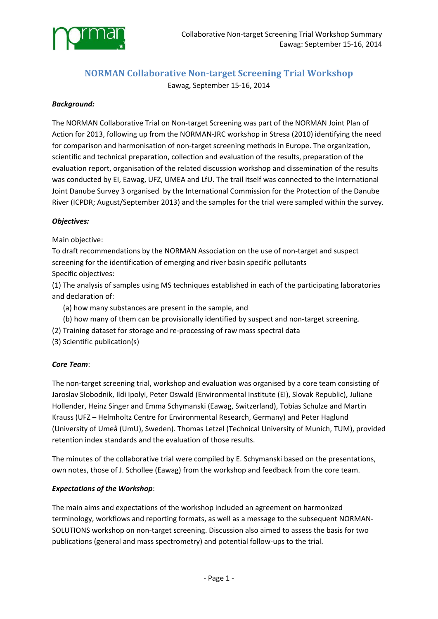

# **NORMAN Collaborative Non‐target Screening Trial Workshop**

Eawag, September 15‐16, 2014

### *Background:*

The NORMAN Collaborative Trial on Non‐target Screening was part of the NORMAN Joint Plan of Action for 2013, following up from the NORMAN‐JRC workshop in Stresa (2010) identifying the need for comparison and harmonisation of non-target screening methods in Europe. The organization, scientific and technical preparation, collection and evaluation of the results, preparation of the evaluation report, organisation of the related discussion workshop and dissemination of the results was conducted by EI, Eawag, UFZ, UMEA and LfU. The trail itself was connected to the International Joint Danube Survey 3 organised by the International Commission for the Protection of the Danube River (ICPDR; August/September 2013) and the samples for the trial were sampled within the survey.

### *Objectives:*

Main objective:

To draft recommendations by the NORMAN Association on the use of non‐target and suspect screening for the identification of emerging and river basin specific pollutants Specific objectives:

(1) The analysis of samples using MS techniques established in each of the participating laboratories and declaration of:

- (a) how many substances are present in the sample, and
- (b) how many of them can be provisionally identified by suspect and non‐target screening.
- (2) Training dataset for storage and re‐processing of raw mass spectral data
- (3) Scientific publication(s)

#### *Core Team*:

The non-target screening trial, workshop and evaluation was organised by a core team consisting of Jaroslav Slobodnik, Ildi Ipolyi, Peter Oswald (Environmental Institute (EI), Slovak Republic), Juliane Hollender, Heinz Singer and Emma Schymanski (Eawag, Switzerland), Tobias Schulze and Martin Krauss (UFZ – Helmholtz Centre for Environmental Research, Germany) and Peter Haglund (University of Umeå (UmU), Sweden). Thomas Letzel (Technical University of Munich, TUM), provided retention index standards and the evaluation of those results.

The minutes of the collaborative trial were compiled by E. Schymanski based on the presentations, own notes, those of J. Schollee (Eawag) from the workshop and feedback from the core team.

#### *Expectations of the Workshop*:

The main aims and expectations of the workshop included an agreement on harmonized terminology, workflows and reporting formats, as well as a message to the subsequent NORMAN‐ SOLUTIONS workshop on non‐target screening. Discussion also aimed to assess the basis for two publications (general and mass spectrometry) and potential follow‐ups to the trial.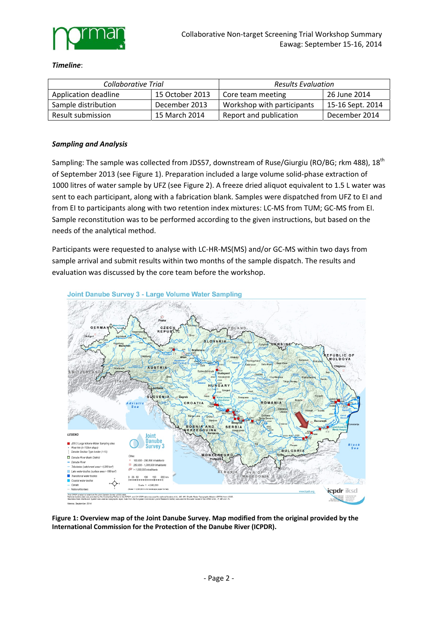

#### *Timeline*:

| Collaborative Trial  |                 | <b>Results Evaluation</b>  |                  |
|----------------------|-----------------|----------------------------|------------------|
| Application deadline | 15 October 2013 | Core team meeting          | 26 June 2014     |
| Sample distribution  | December 2013   | Workshop with participants | 15-16 Sept. 2014 |
| Result submission    | 15 March 2014   | Report and publication     | December 2014    |

#### *Sampling and Analysis*

Sampling: The sample was collected from JDS57, downstream of Ruse/Giurgiu (RO/BG; rkm 488), 18<sup>th</sup> of September 2013 (see Figure 1). Preparation included a large volume solid‐phase extraction of 1000 litres of water sample by UFZ (see Figure 2). A freeze dried aliquot equivalent to 1.5 L water was sent to each participant, along with a fabrication blank. Samples were dispatched from UFZ to EI and from EI to participants along with two retention index mixtures: LC-MS from TUM; GC-MS from EI. Sample reconstitution was to be performed according to the given instructions, but based on the needs of the analytical method.

Participants were requested to analyse with LC‐HR‐MS(MS) and/or GC‐MS within two days from sample arrival and submit results within two months of the sample dispatch. The results and evaluation was discussed by the core team before the workshop.



**Figure 1: Overview map of the Joint Danube Survey. Map modified from the original provided by the International Commission for the Protection of the Danube River (ICPDR).**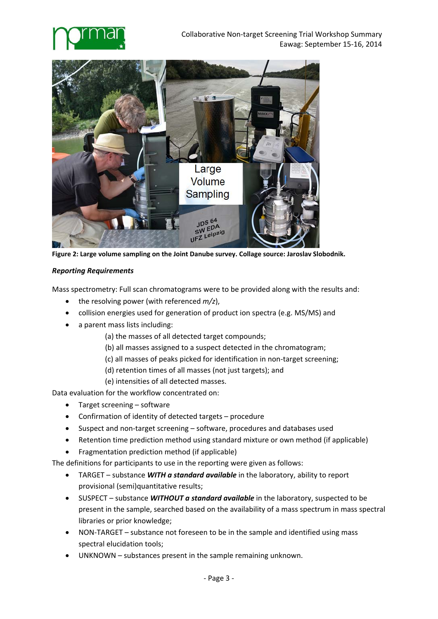



**Figure 2: Large volume sampling on the Joint Danube survey. Collage source: Jaroslav Slobodnik.**

### *Reporting Requirements*

Mass spectrometry: Full scan chromatograms were to be provided along with the results and:

- the resolving power (with referenced  $m/z$ ),
- collision energies used for generation of product ion spectra (e.g. MS/MS) and
- a parent mass lists including:
	- (a) the masses of all detected target compounds;
	- (b) all masses assigned to a suspect detected in the chromatogram;
	- (c) all masses of peaks picked for identification in non‐target screening;
	- (d) retention times of all masses (not just targets); and
	- (e) intensities of all detected masses.

Data evaluation for the workflow concentrated on:

- Target screening software
- Confirmation of identity of detected targets procedure
- Suspect and non-target screening software, procedures and databases used
- Retention time prediction method using standard mixture or own method (if applicable)
- Fragmentation prediction method (if applicable)

The definitions for participants to use in the reporting were given as follows:

- TARGET substance *WITH a standard available* in the laboratory, ability to report provisional (semi)quantitative results;
- SUSPECT substance *WITHOUT a standard available* in the laboratory, suspected to be present in the sample, searched based on the availability of a mass spectrum in mass spectral libraries or prior knowledge;
- NON-TARGET substance not foreseen to be in the sample and identified using mass spectral elucidation tools;
- UNKNOWN substances present in the sample remaining unknown.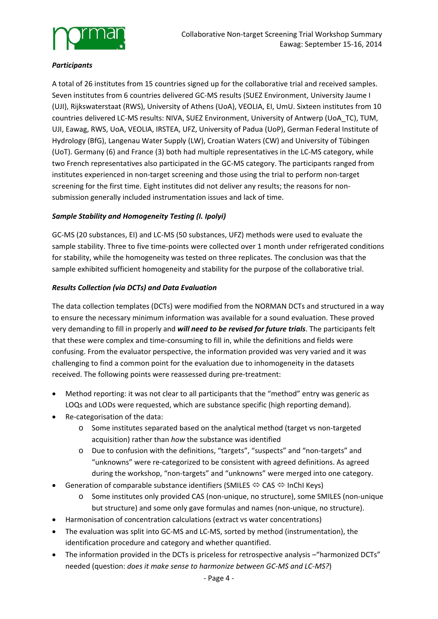

# *Participants*

A total of 26 institutes from 15 countries signed up for the collaborative trial and received samples. Seven institutes from 6 countries delivered GC‐MS results (SUEZ Environment, University Jaume I (UJI), Rijkswaterstaat (RWS), University of Athens (UoA), VEOLIA, EI, UmU. Sixteen institutes from 10 countries delivered LC‐MS results: NIVA, SUEZ Environment, University of Antwerp (UoA\_TC), TUM, UJI, Eawag, RWS, UoA, VEOLIA, IRSTEA, UFZ, University of Padua (UoP), German Federal Institute of Hydrology (BfG), Langenau Water Supply (LW), Croatian Waters (CW) and University of Tübingen (UoT). Germany (6) and France (3) both had multiple representatives in the LC‐MS category, while two French representatives also participated in the GC‐MS category. The participants ranged from institutes experienced in non-target screening and those using the trial to perform non-target screening for the first time. Eight institutes did not deliver any results; the reasons for non‐ submission generally included instrumentation issues and lack of time.

# *Sample Stability and Homogeneity Testing (I. Ipolyi)*

GC‐MS (20 substances, EI) and LC‐MS (50 substances, UFZ) methods were used to evaluate the sample stability. Three to five time-points were collected over 1 month under refrigerated conditions for stability, while the homogeneity was tested on three replicates. The conclusion was that the sample exhibited sufficient homogeneity and stability for the purpose of the collaborative trial.

# *Results Collection (via DCTs) and Data Evaluation*

The data collection templates (DCTs) were modified from the NORMAN DCTs and structured in a way to ensure the necessary minimum information was available for a sound evaluation. These proved very demanding to fill in properly and *will need to be revised for future trials*. The participants felt that these were complex and time‐consuming to fill in, while the definitions and fields were confusing. From the evaluator perspective, the information provided was very varied and it was challenging to find a common point for the evaluation due to inhomogeneity in the datasets received. The following points were reassessed during pre‐treatment:

- Method reporting: it was not clear to all participants that the "method" entry was generic as LOQs and LODs were requested, which are substance specific (high reporting demand).
- Re-categorisation of the data:
	- o Some institutes separated based on the analytical method (target vs non‐targeted acquisition) rather than *how* the substance was identified
	- o Due to confusion with the definitions, "targets", "suspects" and "non‐targets" and "unknowns" were re‐categorized to be consistent with agreed definitions. As agreed during the workshop, "non‐targets" and "unknowns" were merged into one category.
- **•** Generation of comparable substance identifiers (SMILES  $\Leftrightarrow$  CAS  $\Leftrightarrow$  InChI Keys)
	- o Some institutes only provided CAS (non‐unique, no structure), some SMILES (non‐unique but structure) and some only gave formulas and names (non-unique, no structure).
- Harmonisation of concentration calculations (extract vs water concentrations)
- The evaluation was split into GC‐MS and LC‐MS, sorted by method (instrumentation), the identification procedure and category and whether quantified.
- The information provided in the DCTs is priceless for retrospective analysis "harmonized DCTs" needed (question: *does it make sense to harmonize between GC‐MS and LC‐MS?*)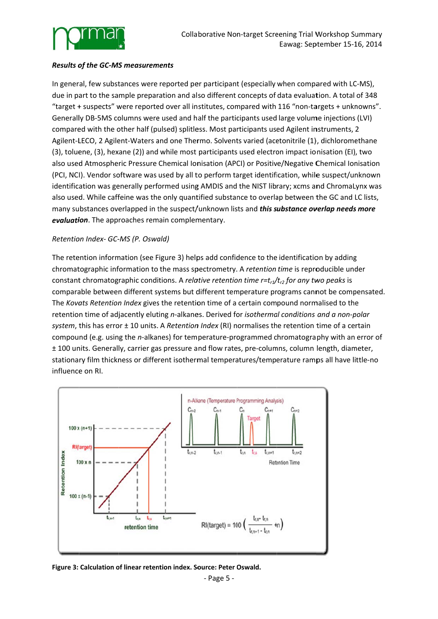

# *Results o of the GC‐MS S measurem ments*

In general, few substances were reported per participant (especially when compared with LC-MS), due in part to the sample preparation and also different concepts of data evaluation. A total of 348 "target + suspects" were reported over all institutes, compared with 116 "non-targets + unknowns". Generally DB-5MS columns were used and half the participants used large volume injections (LVI) compared with the other half (pulsed) splitless. Most participants used Agilent instruments, 2 Agilent-LECO, 2 Agilent-Waters and one Thermo. Solvents varied (acetonitrile (1), dichloromethane (3), toluene, (3), hexane (2)) and while most participants used electron impact ionisation (EI), two also used Atmospheric Pressure Chemical Ionisation (APCI) or Positive/Negative Chemical Ionisation (PCI, NCI). Vendor software was used by all to perform target identification, while suspect/unknown identification was generally performed using AMDIS and the NIST library; xcms and ChromaLynx was also used. While caffeine was the only quantified substance to overlap between the GC and LC lists, many substances overlapped in the suspect/unknown lists and *this substance overlap needs more* evaluation. The approaches remain complementary.

### *Retentio on Index‐ GC‐ MS (P. Oswa ald)*

The retention information (see Figure 3) helps add confidence to the identification by adding chromatographic information to the mass spectrometry. A *retention time* is reproducible under constant chromatographic conditions. A *relative retention time r=t<sub>r1</sub>/t<sub>r2</sub> for any two peaks* is comparable between different systems but different temperature programs cannot be compensated. The *Kovats Retention Index* gives the retention time of a certain compound normalised to the retention time of adjacently eluting n-alkanes. Derived for *isothermal conditions and a non-polar* system, this has error ± 10 units. A *Retention Index* (RI) normalises the retention time of a certain compound (e.g. using the *n*-alkanes) for temperature-programmed chromatography with an error of ± 100 units. Generally, carrier gas pressure and flow rates, pre-columns, column length, diameter, stationary film thickness or different isothermal temperatures/temperature ramps all have little-no influence e on RI.



**Figure 3: Calculation o of linear reten ntion index. So ource: Peter O Oswald.**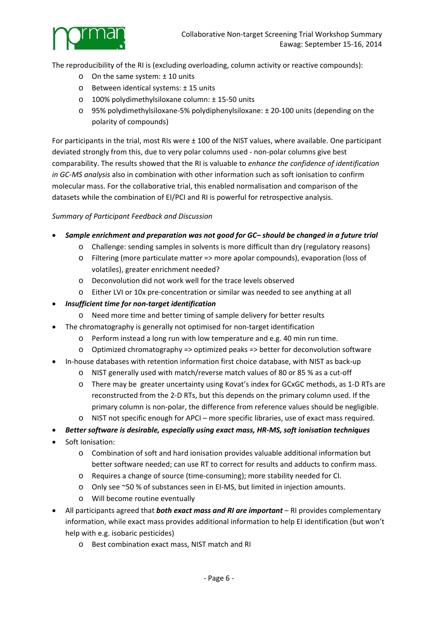

The reproducibility of the RI is (excluding overloading, column activity or reactive compounds):

- o On the same system: ± 10 units
- o Between identical systems: ± 15 units
- o 100% polydimethylsiloxane column: ± 15‐50 units
- o 95% polydimethylsiloxane‐5% polydiphenylsiloxane: ± 20‐100 units (depending on the polarity of compounds)

For participants in the trial, most RIs were ± 100 of the NIST values, where available. One participant deviated strongly from this, due to very polar columns used ‐ non‐polar columns give best comparability. The results showed that the RI is valuable to *enhance the confidence of identification in GC‐MS analysis* also in combination with other information such as soft ionisation to confirm molecular mass. For the collaborative trial, this enabled normalisation and comparison of the datasets while the combination of EI/PCI and RI is powerful for retrospective analysis.

# *Summary of Participant Feedback and Discussion*

- *Sample enrichment and preparation was not good for GC– should be changed in a future trial*
	- o Challenge: sending samples in solvents is more difficult than dry (regulatory reasons)
	- o Filtering (more particulate matter => more apolar compounds), evaporation (loss of volatiles), greater enrichment needed?
	- o Deconvolution did not work well for the trace levels observed
	- o Either LVI or 10x pre‐concentration or similar was needed to see anything at all
- *Insufficient time for non‐target identification*
	- o Need more time and better timing of sample delivery for better results
- The chromatography is generally not optimised for non-target identification
	- o Perform instead a long run with low temperature and e.g. 40 min run time.
	- o Optimized chromatography => optimized peaks => better for deconvolution software
- In‐house databases with retention information first choice database, with NIST as back‐up
	- o NIST generally used with match/reverse match values of 80 or 85 % as a cut‐off
	- o There may be greater uncertainty using Kovat's index for GCxGC methods, as 1‐D RTs are reconstructed from the 2‐D RTs, but this depends on the primary column used. If the primary column is non‐polar, the difference from reference values should be negligible.
	- o NIST not specific enough for APCI more specific libraries, use of exact mass required.
- *Better software is desirable, especially using exact mass, HR‐MS, soft ionisation techniques*
- Soft Ionisation:
	- o Combination of soft and hard ionisation provides valuable additional information but better software needed; can use RT to correct for results and adducts to confirm mass.
	- o Requires a change of source (time‐consuming); more stability needed for CI.
	- o Only see ~50 % of substances seen in EI‐MS, but limited in injection amounts.
	- o Will become routine eventually
- All participants agreed that *both exact mass and RI are important* RI provides complementary information, while exact mass provides additional information to help EI identification (but won't help with e.g. isobaric pesticides)
	- o Best combination exact mass, NIST match and RI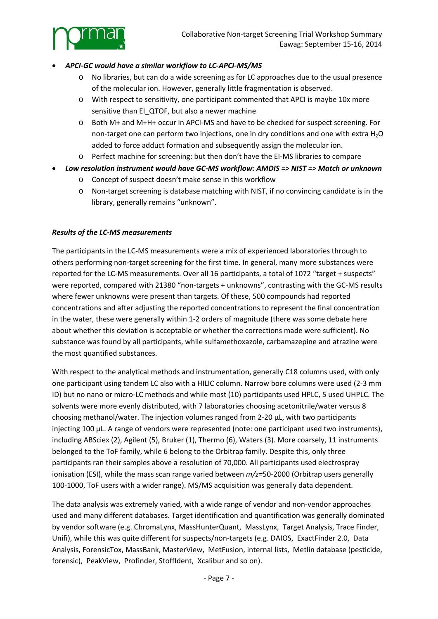

- *APCI‐GC would have a similar workflow to LC‐APCI‐MS/MS*
	- o No libraries, but can do a wide screening as for LC approaches due to the usual presence of the molecular ion. However, generally little fragmentation is observed.
	- o With respect to sensitivity, one participant commented that APCI is maybe 10x more sensitive than EI\_QTOF, but also a newer machine
	- o Both M+ and M+H+ occur in APCI‐MS and have to be checked for suspect screening. For non-target one can perform two injections, one in dry conditions and one with extra  $H_2O$ added to force adduct formation and subsequently assign the molecular ion.
	- o Perfect machine for screening: but then don't have the EI‐MS libraries to compare
- *Low resolution instrument would have GC‐MS workflow: AMDIS => NIST => Match or unknown*
	- o Concept of suspect doesn't make sense in this workflow
	- o Non‐target screening is database matching with NIST, if no convincing candidate is in the library, generally remains "unknown".

#### *Results of the LC‐MS measurements*

The participants in the LC-MS measurements were a mix of experienced laboratories through to others performing non‐target screening for the first time. In general, many more substances were reported for the LC‐MS measurements. Over all 16 participants, a total of 1072 "target + suspects" were reported, compared with 21380 "non-targets + unknowns", contrasting with the GC-MS results where fewer unknowns were present than targets. Of these, 500 compounds had reported concentrations and after adjusting the reported concentrations to represent the final concentration in the water, these were generally within 1‐2 orders of magnitude (there was some debate here about whether this deviation is acceptable or whether the corrections made were sufficient). No substance was found by all participants, while sulfamethoxazole, carbamazepine and atrazine were the most quantified substances.

With respect to the analytical methods and instrumentation, generally C18 columns used, with only one participant using tandem LC also with a HILIC column. Narrow bore columns were used (2‐3 mm ID) but no nano or micro‐LC methods and while most (10) participants used HPLC, 5 used UHPLC. The solvents were more evenly distributed, with 7 laboratories choosing acetonitrile/water versus 8 choosing methanol/water. The injection volumes ranged from 2‐20 µL, with two participants injecting 100 µL. A range of vendors were represented (note: one participant used two instruments), including ABSciex (2), Agilent (5), Bruker (1), Thermo (6), Waters (3). More coarsely, 11 instruments belonged to the ToF family, while 6 belong to the Orbitrap family. Despite this, only three participants ran their samples above a resolution of 70,000. All participants used electrospray ionisation (ESI), while the mass scan range varied between  $m/z$ =50-2000 (Orbitrap users generally 100-1000, ToF users with a wider range). MS/MS acquisition was generally data dependent.

The data analysis was extremely varied, with a wide range of vendor and non‐vendor approaches used and many different databases. Target identification and quantification was generally dominated by vendor software (e.g. ChromaLynx, MassHunterQuant, MassLynx, Target Analysis, Trace Finder, Unifi), while this was quite different for suspects/non-targets (e.g. DAIOS, ExactFinder 2.0, Data Analysis, ForensicTox, MassBank, MasterView, MetFusion, internal lists, Metlin database (pesticide, forensic), PeakView, Profinder, StoffIdent, Xcalibur and so on).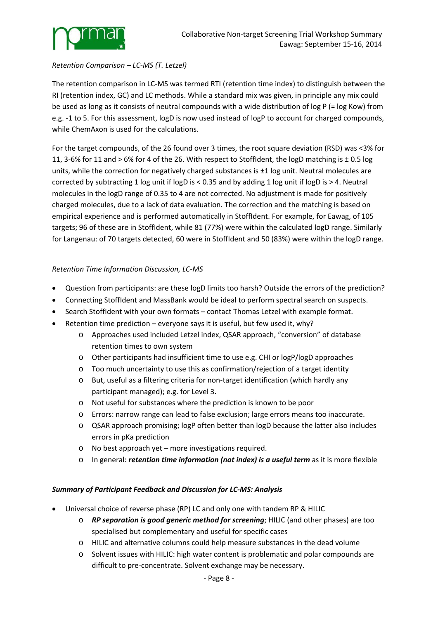

### *Retention Comparison – LC‐MS (T. Letzel)*

The retention comparison in LC‐MS was termed RTI (retention time index) to distinguish between the RI (retention index, GC) and LC methods. While a standard mix was given, in principle any mix could be used as long as it consists of neutral compounds with a wide distribution of log P (= log Kow) from e.g. ‐1 to 5. For this assessment, logD is now used instead of logP to account for charged compounds, while ChemAxon is used for the calculations.

For the target compounds, of the 26 found over 3 times, the root square deviation (RSD) was <3% for 11, 3-6% for 11 and > 6% for 4 of the 26. With respect to StoffIdent, the logD matching is  $\pm$  0.5 log units, while the correction for negatively charged substances is  $\pm 1$  log unit. Neutral molecules are corrected by subtracting 1 log unit if logD is < 0.35 and by adding 1 log unit if logD is > 4. Neutral molecules in the logD range of 0.35 to 4 are not corrected. No adjustment is made for positively charged molecules, due to a lack of data evaluation. The correction and the matching is based on empirical experience and is performed automatically in StoffIdent. For example, for Eawag, of 105 targets; 96 of these are in StoffIdent, while 81 (77%) were within the calculated logD range. Similarly for Langenau: of 70 targets detected, 60 were in StoffIdent and 50 (83%) were within the logD range.

# *Retention Time Information Discussion, LC‐MS*

- Question from participants: are these logD limits too harsh? Outside the errors of the prediction?
- Connecting StoffIdent and MassBank would be ideal to perform spectral search on suspects.
- Search StoffIdent with your own formats contact Thomas Letzel with example format.
- Retention time prediction everyone says it is useful, but few used it, why?
	- o Approaches used included Letzel index, QSAR approach, "conversion" of database retention times to own system
	- o Other participants had insufficient time to use e.g. CHI or logP/logD approaches
	- $\circ$  Too much uncertainty to use this as confirmation/rejection of a target identity
	- o But, useful as a filtering criteria for non‐target identification (which hardly any participant managed); e.g. for Level 3.
	- o Not useful for substances where the prediction is known to be poor
	- o Errors: narrow range can lead to false exclusion; large errors means too inaccurate.
	- o QSAR approach promising; logP often better than logD because the latter also includes errors in pKa prediction
	- o No best approach yet more investigations required.
	- o In general: *retention time information (not index) is a useful term* as it is more flexible

# *Summary of Participant Feedback and Discussion for LC‐MS: Analysis*

- Universal choice of reverse phase (RP) LC and only one with tandem RP & HILIC
	- o *RP separation is good generic method for screening*; HILIC (and other phases) are too specialised but complementary and useful for specific cases
	- o HILIC and alternative columns could help measure substances in the dead volume
	- o Solvent issues with HILIC: high water content is problematic and polar compounds are difficult to pre‐concentrate. Solvent exchange may be necessary.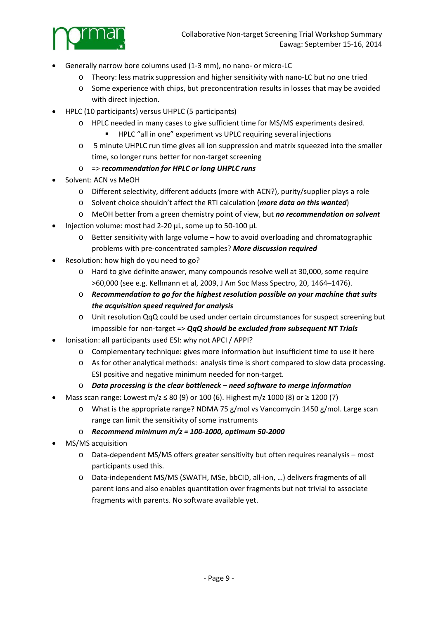

- Generally narrow bore columns used (1‐3 mm), no nano‐ or micro‐LC
	- o Theory: less matrix suppression and higher sensitivity with nano‐LC but no one tried
	- o Some experience with chips, but preconcentration results in losses that may be avoided with direct injection.
- HPLC (10 participants) versus UHPLC (5 participants)
	- o HPLC needed in many cases to give sufficient time for MS/MS experiments desired.
		- **HPLC** "all in one" experiment vs UPLC requiring several injections
	- o 5 minute UHPLC run time gives all ion suppression and matrix squeezed into the smaller time, so longer runs better for non-target screening
	- o => *recommendation for HPLC or long UHPLC runs*
- Solvent: ACN vs MeOH
	- o Different selectivity, different adducts (more with ACN?), purity/supplier plays a role
	- o Solvent choice shouldn't affect the RTI calculation (*more data on this wanted*)
	- o MeOH better from a green chemistry point of view, but *no recommendation on solvent*
- Injection volume: most had 2‐20 µL, some up to 50‐100 µL
	- o Better sensitivity with large volume how to avoid overloading and chromatographic problems with pre‐concentrated samples? *More discussion required*
- Resolution: how high do you need to go?
	- o Hard to give definite answer, many compounds resolve well at 30,000, some require >60,000 (see e.g. Kellmann et al, 2009, J Am Soc Mass Spectro, 20, 1464–1476).
	- o *Recommendation to go for the highest resolution possible on your machine that suits the acquisition speed required for analysis*
	- o Unit resolution QqQ could be used under certain circumstances for suspect screening but impossible for non‐target => *QqQ should be excluded from subsequent NT Trials*
- Ionisation: all participants used ESI: why not APCI / APPI?
	- o Complementary technique: gives more information but insufficient time to use it here
	- o As for other analytical methods: analysis time is short compared to slow data processing. ESI positive and negative minimum needed for non‐target.
	- o *Data processing is the clear bottleneck – need software to merge information*
- Mass scan range: Lowest m/z ≤ 80 (9) or 100 (6). Highest m/z 1000 (8) or ≥ 1200 (7)
	- $\circ$  What is the appropriate range? NDMA 75 g/mol vs Vancomycin 1450 g/mol. Large scan range can limit the sensitivity of some instruments
	- o *Recommend minimum m/z = 100‐1000, optimum 50‐2000*
- MS/MS acquisition
	- o Data‐dependent MS/MS offers greater sensitivity but often requires reanalysis most participants used this.
	- o Data‐independent MS/MS (SWATH, MSe, bbCID, all‐ion, …) delivers fragments of all parent ions and also enables quantitation over fragments but not trivial to associate fragments with parents. No software available yet.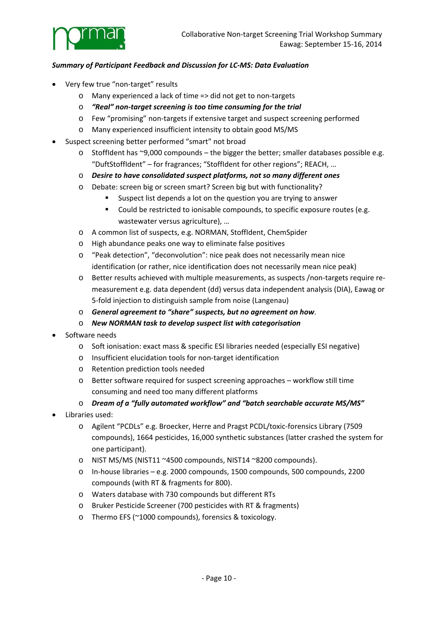

### *Summary of Participant Feedback and Discussion for LC‐MS: Data Evaluation*

- Very few true "non‐target" results
	- o Many experienced a lack of time => did not get to non‐targets
	- o *"Real" non‐target screening is too time consuming for the trial*
	- o Few "promising" non‐targets if extensive target and suspect screening performed
	- o Many experienced insufficient intensity to obtain good MS/MS
- Suspect screening better performed "smart" not broad
	- o StoffIdent has ~9,000 compounds the bigger the better; smaller databases possible e.g. "DuftStoffIdent" – for fragrances; "StoffIdent for other regions"; REACH, …
	- o *Desire to have consolidated suspect platforms, not so many different ones*
	- o Debate: screen big or screen smart? Screen big but with functionality?
		- **Suspect list depends a lot on the question you are trying to answer**
		- **Could be restricted to ionisable compounds, to specific exposure routes (e.g.**) wastewater versus agriculture), …
	- o A common list of suspects, e.g. NORMAN, StoffIdent, ChemSpider
	- o High abundance peaks one way to eliminate false positives
	- o "Peak detection", "deconvolution": nice peak does not necessarily mean nice identification (or rather, nice identification does not necessarily mean nice peak)
	- o Better results achieved with multiple measurements, as suspects /non‐targets require re‐ measurement e.g. data dependent (dd) versus data independent analysis (DIA), Eawag or 5‐fold injection to distinguish sample from noise (Langenau)
	- o *General agreement to "share" suspects, but no agreement on how*.
	- o *New NORMAN task to develop suspect list with categorisation*
- Software needs
	- o Soft ionisation: exact mass & specific ESI libraries needed (especially ESI negative)
	- o Insufficient elucidation tools for non‐target identification
	- o Retention prediction tools needed
	- o Better software required for suspect screening approaches workflow still time consuming and need too many different platforms
	- o *Dream of a "fully automated workflow" and "batch searchable accurate MS/MS"*
- Libraries used:
	- o Agilent "PCDLs" e.g. Broecker, Herre and Pragst PCDL/toxic‐forensics Library (7509 compounds), 1664 pesticides, 16,000 synthetic substances (latter crashed the system for one participant).
	- o NIST MS/MS (NIST11 ~4500 compounds, NIST14 ~8200 compounds).
	- o In‐house libraries e.g. 2000 compounds, 1500 compounds, 500 compounds, 2200 compounds (with RT & fragments for 800).
	- o Waters database with 730 compounds but different RTs
	- o Bruker Pesticide Screener (700 pesticides with RT & fragments)
	- o Thermo EFS (~1000 compounds), forensics & toxicology.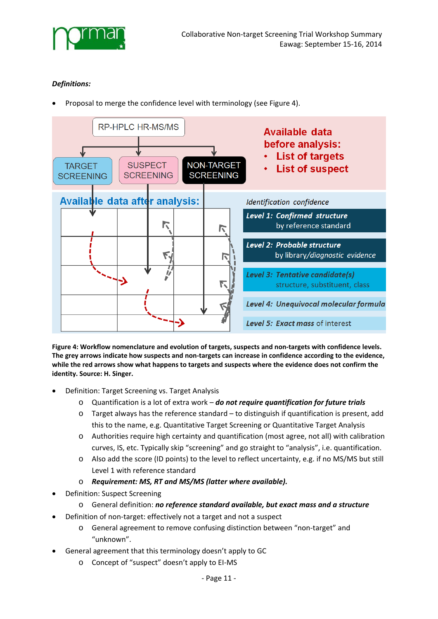

# *Definitions:*

Proposal to merge the confidence level with terminology (see Figure 4).



**Figure 4: Workflow nomenclature and evolution of targets, suspects and non‐targets with confidence levels.** The grey arrows indicate how suspects and non-targets can increase in confidence according to the evidence, while the red arrows show what happens to targets and suspects where the evidence does not confirm the **identity. Source: H. Singer.**

- Definition: Target Screening vs. Target Analysis
	- o Quantification is a lot of extra work *do not require quantification for future trials*
	- o Target always has the reference standard to distinguish if quantification is present, add this to the name, e.g. Quantitative Target Screening or Quantitative Target Analysis
	- o Authorities require high certainty and quantification (most agree, not all) with calibration curves, IS, etc. Typically skip "screening" and go straight to "analysis", i.e. quantification.
	- o Also add the score (ID points) to the level to reflect uncertainty, e.g. if no MS/MS but still Level 1 with reference standard
	- o *Requirement: MS, RT and MS/MS (latter where available).*
- Definition: Suspect Screening
	- o General definition: *no reference standard available, but exact mass and a structure*
- Definition of non-target: effectively not a target and not a suspect
	- o General agreement to remove confusing distinction between "non‐target" and "unknown".
- General agreement that this terminology doesn't apply to GC
	- o Concept of "suspect" doesn't apply to EI‐MS